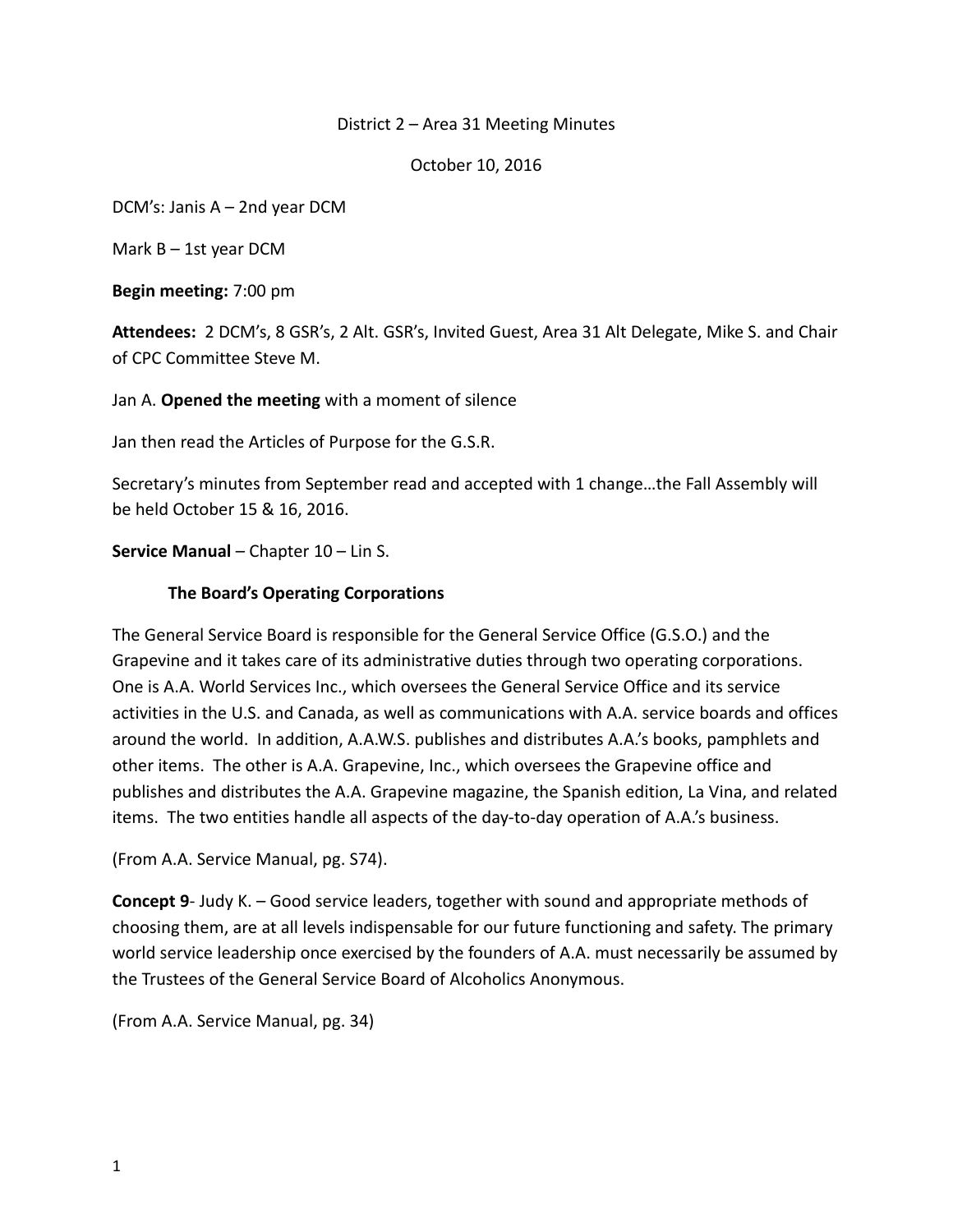#### District 2 – Area 31 Meeting Minutes

October 10, 2016

DCM's: Janis A – 2nd year DCM

Mark  $B - 1$ st year DCM

**Begin meeting:** 7:00 pm

**Attendees:** 2 DCM's, 8 GSR's, 2 Alt. GSR's, Invited Guest, Area 31 Alt Delegate, Mike S. and Chair of CPC Committee Steve M.

Jan A. **Opened the meeting** with a moment of silence

Jan then read the Articles of Purpose for the G.S.R.

Secretary's minutes from September read and accepted with 1 change…the Fall Assembly will be held October 15 & 16, 2016.

#### **Service Manual** – Chapter 10 – Lin S.

#### **The Board's Operating Corporations**

The General Service Board is responsible for the General Service Office (G.S.O.) and the Grapevine and it takes care of its administrative duties through two operating corporations. One is A.A. World Services Inc., which oversees the General Service Office and its service activities in the U.S. and Canada, as well as communications with A.A. service boards and offices around the world. In addition, A.A.W.S. publishes and distributes A.A.'s books, pamphlets and other items. The other is A.A. Grapevine, Inc., which oversees the Grapevine office and publishes and distributes the A.A. Grapevine magazine, the Spanish edition, La Vina, and related items. The two entities handle all aspects of the day-to-day operation of A.A.'s business.

(From A.A. Service Manual, pg. S74).

**Concept 9**- Judy K. – Good service leaders, together with sound and appropriate methods of choosing them, are at all levels indispensable for our future functioning and safety. The primary world service leadership once exercised by the founders of A.A. must necessarily be assumed by the Trustees of the General Service Board of Alcoholics Anonymous.

(From A.A. Service Manual, pg. 34)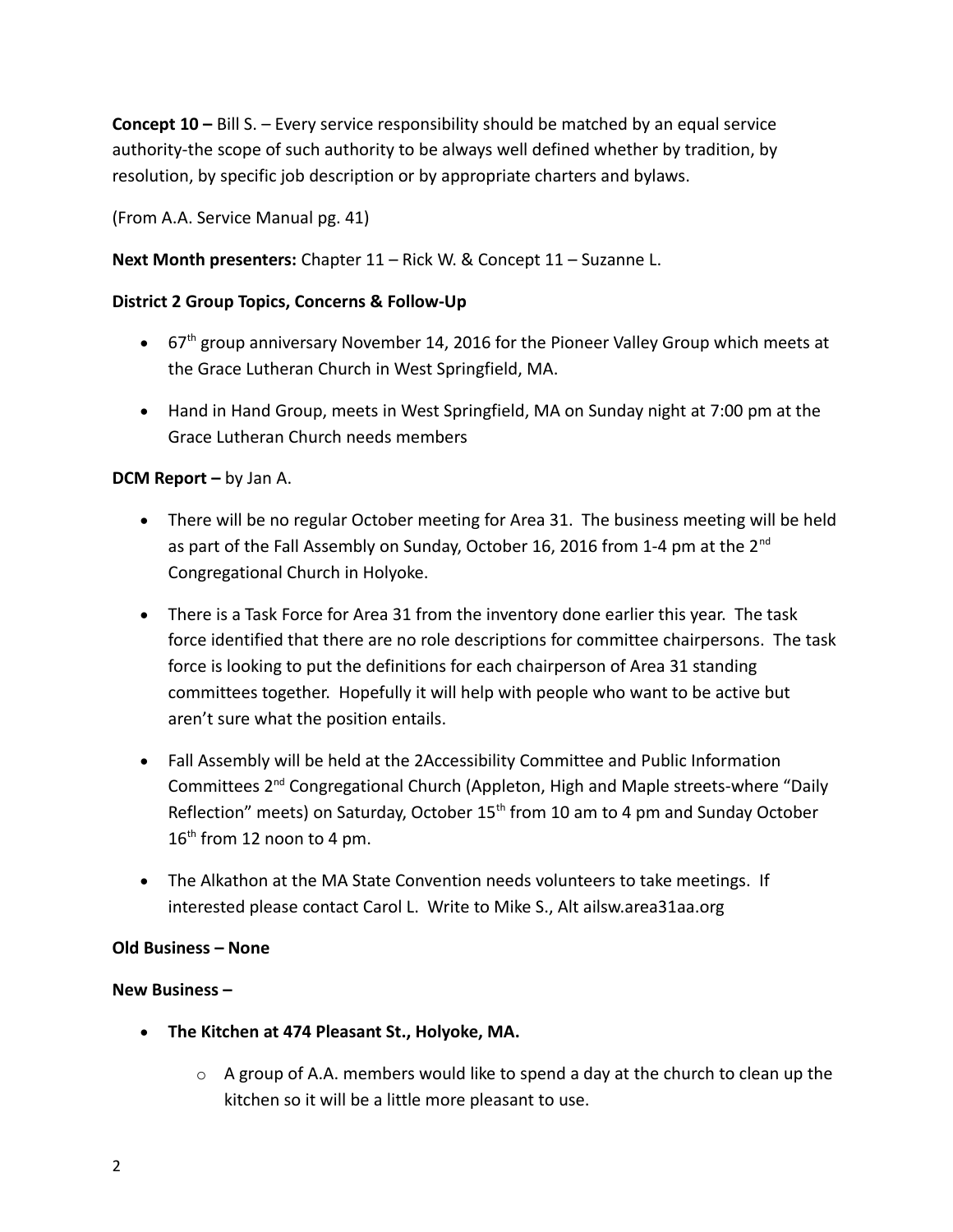**Concept 10 –** Bill S. – Every service responsibility should be matched by an equal service authority-the scope of such authority to be always well defined whether by tradition, by resolution, by specific job description or by appropriate charters and bylaws.

(From A.A. Service Manual pg. 41)

**Next Month presenters:** Chapter 11 – Rick W. & Concept 11 – Suzanne L.

### **District 2 Group Topics, Concerns & Follow-Up**

- $\bullet$  67<sup>th</sup> group anniversary November 14, 2016 for the Pioneer Valley Group which meets at the Grace Lutheran Church in West Springfield, MA.
- Hand in Hand Group, meets in West Springfield, MA on Sunday night at 7:00 pm at the Grace Lutheran Church needs members

## **DCM Report –** by Jan A.

- There will be no regular October meeting for Area 31. The business meeting will be held as part of the Fall Assembly on Sunday, October 16, 2016 from 1-4 pm at the  $2^{nd}$ Congregational Church in Holyoke.
- There is a Task Force for Area 31 from the inventory done earlier this year. The task force identified that there are no role descriptions for committee chairpersons. The task force is looking to put the definitions for each chairperson of Area 31 standing committees together. Hopefully it will help with people who want to be active but aren't sure what the position entails.
- Fall Assembly will be held at the 2Accessibility Committee and Public Information Committees 2nd Congregational Church (Appleton, High and Maple streets-where "Daily Reflection" meets) on Saturday, October  $15<sup>th</sup>$  from 10 am to 4 pm and Sunday October  $16<sup>th</sup>$  from 12 noon to 4 pm.
- The Alkathon at the MA State Convention needs volunteers to take meetings. If interested please contact Carol L. Write to Mike S., Alt ailsw.area31aa.org

### **Old Business – None**

### **New Business –**

- **The Kitchen at 474 Pleasant St., Holyoke, MA.**
	- $\circ$  A group of A.A. members would like to spend a day at the church to clean up the kitchen so it will be a little more pleasant to use.